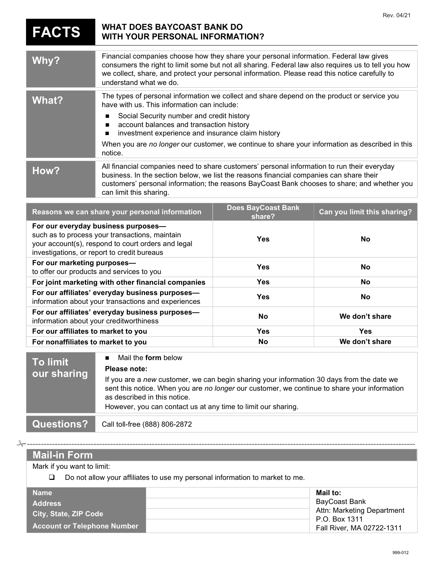|                                                                                                                                                                                                                                                                                                                                                                          |                                                                                                                                                                                                                                                                                                                                                                                                                       |                                     | Rev. 04/21                  |
|--------------------------------------------------------------------------------------------------------------------------------------------------------------------------------------------------------------------------------------------------------------------------------------------------------------------------------------------------------------------------|-----------------------------------------------------------------------------------------------------------------------------------------------------------------------------------------------------------------------------------------------------------------------------------------------------------------------------------------------------------------------------------------------------------------------|-------------------------------------|-----------------------------|
| <b>FACTS</b>                                                                                                                                                                                                                                                                                                                                                             | <b>WHAT DOES BAYCOAST BANK DO</b><br><b>WITH YOUR PERSONAL INFORMATION?</b>                                                                                                                                                                                                                                                                                                                                           |                                     |                             |
| Why?                                                                                                                                                                                                                                                                                                                                                                     | Financial companies choose how they share your personal information. Federal law gives<br>consumers the right to limit some but not all sharing. Federal law also requires us to tell you how<br>we collect, share, and protect your personal information. Please read this notice carefully to<br>understand what we do.                                                                                             |                                     |                             |
| <b>What?</b>                                                                                                                                                                                                                                                                                                                                                             | The types of personal information we collect and share depend on the product or service you<br>have with us. This information can include:<br>Social Security number and credit history<br>п<br>account balances and transaction history<br>п<br>investment experience and insurance claim history<br>п<br>When you are no longer our customer, we continue to share your information as described in this<br>notice. |                                     |                             |
| How?                                                                                                                                                                                                                                                                                                                                                                     | All financial companies need to share customers' personal information to run their everyday<br>business. In the section below, we list the reasons financial companies can share their<br>customers' personal information; the reasons BayCoast Bank chooses to share; and whether you<br>can limit this sharing.                                                                                                     |                                     |                             |
|                                                                                                                                                                                                                                                                                                                                                                          | Reasons we can share your personal information                                                                                                                                                                                                                                                                                                                                                                        | <b>Does BayCoast Bank</b><br>share? | Can you limit this sharing? |
| For our everyday business purposes-<br>such as to process your transactions, maintain<br>your account(s), respond to court orders and legal<br>investigations, or report to credit bureaus                                                                                                                                                                               |                                                                                                                                                                                                                                                                                                                                                                                                                       | <b>Yes</b>                          | No                          |
| For our marketing purposes-<br>to offer our products and services to you                                                                                                                                                                                                                                                                                                 |                                                                                                                                                                                                                                                                                                                                                                                                                       | <b>Yes</b>                          | <b>No</b>                   |
| For joint marketing with other financial companies                                                                                                                                                                                                                                                                                                                       |                                                                                                                                                                                                                                                                                                                                                                                                                       | <b>Yes</b>                          | <b>No</b>                   |
| For our affiliates' everyday business purposes-<br>information about your transactions and experiences                                                                                                                                                                                                                                                                   |                                                                                                                                                                                                                                                                                                                                                                                                                       | <b>Yes</b>                          | No                          |
| For our affiliates' everyday business purposes-<br>information about your creditworthiness                                                                                                                                                                                                                                                                               |                                                                                                                                                                                                                                                                                                                                                                                                                       | <b>No</b>                           | We don't share              |
| For our affiliates to market to you                                                                                                                                                                                                                                                                                                                                      |                                                                                                                                                                                                                                                                                                                                                                                                                       | <b>Yes</b>                          | <b>Yes</b>                  |
| For nonaffiliates to market to you                                                                                                                                                                                                                                                                                                                                       |                                                                                                                                                                                                                                                                                                                                                                                                                       | No                                  | We don't share              |
| Mail the form below<br>п<br><b>To limit</b><br>Please note:<br>our sharing<br>If you are a new customer, we can begin sharing your information 30 days from the date we<br>sent this notice. When you are no longer our customer, we continue to share your information<br>as described in this notice.<br>However, you can contact us at any time to limit our sharing. |                                                                                                                                                                                                                                                                                                                                                                                                                       |                                     |                             |

**Questions?** Call toll-free (888) 806-2872

-------------------------------------------------------------------------------------------------------------------------------------------- Mail-in Form Mark if you want to limit: Do not allow your affiliates to use my personal information to market to me. Name **Mail to:** Name Mail to: Name Mail to: Name Mail to: Name Mail to: Name Mail to: Name Mail to: Name Mail to: N BayCoast Bank Attn: Marketing Department P.O. Box 1311 Fall River, MA 02722-1311 Address City, State, ZIP Code Account or Telephone Number